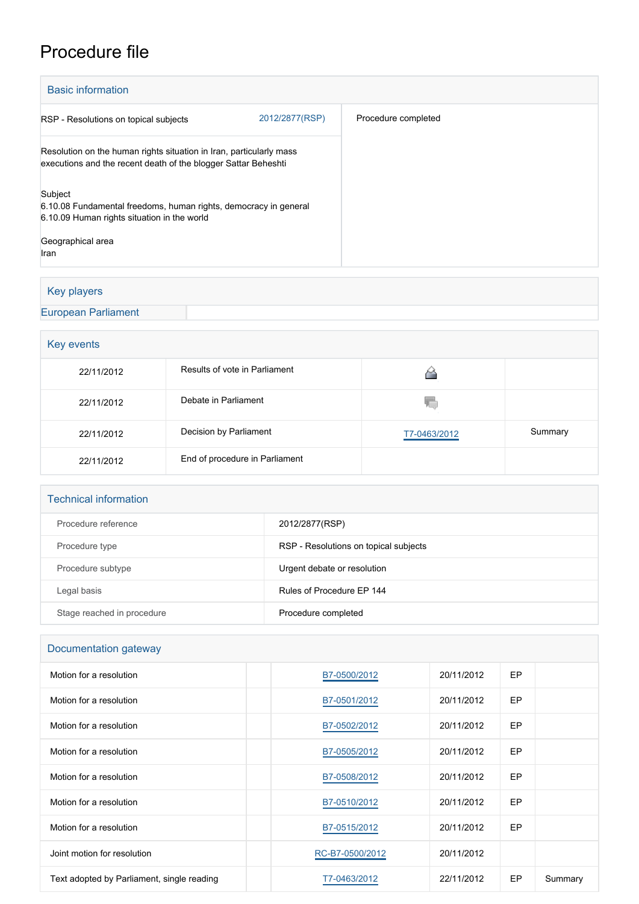# Procedure file

| <b>Basic information</b>                                                                                                              |                     |
|---------------------------------------------------------------------------------------------------------------------------------------|---------------------|
| 2012/2877(RSP)<br>RSP - Resolutions on topical subjects                                                                               | Procedure completed |
| Resolution on the human rights situation in Iran, particularly mass<br>executions and the recent death of the blogger Sattar Beheshti |                     |
| Subject<br>6.10.08 Fundamental freedoms, human rights, democracy in general<br>6.10.09 Human rights situation in the world            |                     |
| Geographical area<br>Iran                                                                                                             |                     |

## Key players

### [European Parliament](http://www.europarl.europa.eu/)

# **Key events**

| 22/11/2012 | Results of vote in Parliament  |              |         |
|------------|--------------------------------|--------------|---------|
| 22/11/2012 | Debate in Parliament           | Y.           |         |
| 22/11/2012 | Decision by Parliament         | T7-0463/2012 | Summary |
| 22/11/2012 | End of procedure in Parliament |              |         |

#### Technical information

| Procedure reference        | 2012/2877(RSP)                        |
|----------------------------|---------------------------------------|
| Procedure type             | RSP - Resolutions on topical subjects |
| Procedure subtype          | Urgent debate or resolution           |
| Legal basis                | Rules of Procedure EP 144             |
| Stage reached in procedure | Procedure completed                   |

#### Documentation gateway

| Motion for a resolution                    | B7-0500/2012    | 20/11/2012 | EP |         |
|--------------------------------------------|-----------------|------------|----|---------|
| Motion for a resolution                    | B7-0501/2012    | 20/11/2012 | EP |         |
| Motion for a resolution                    | B7-0502/2012    | 20/11/2012 | EP |         |
| Motion for a resolution                    | B7-0505/2012    | 20/11/2012 | EP |         |
| Motion for a resolution                    | B7-0508/2012    | 20/11/2012 | EP |         |
| Motion for a resolution                    | B7-0510/2012    | 20/11/2012 | EP |         |
| Motion for a resolution                    | B7-0515/2012    | 20/11/2012 | EP |         |
| Joint motion for resolution                | RC-B7-0500/2012 | 20/11/2012 |    |         |
| Text adopted by Parliament, single reading | T7-0463/2012    | 22/11/2012 | EP | Summary |